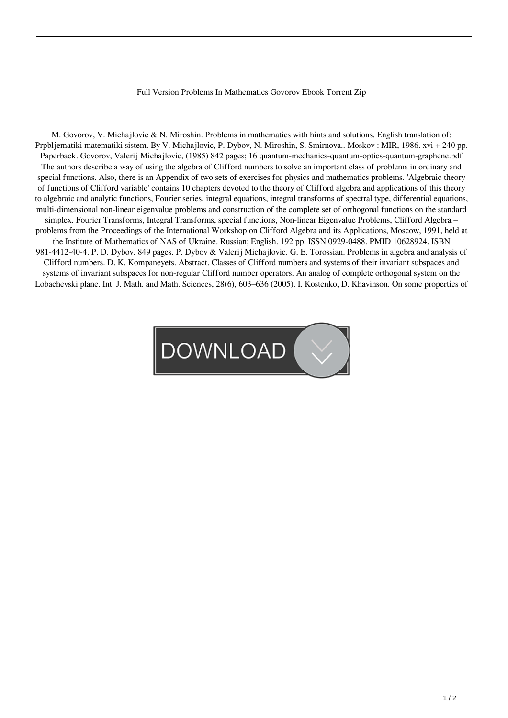## Full Version Problems In Mathematics Govorov Ebook Torrent Zip

M. Govorov, V. Michajlovic & N. Miroshin. Problems in mathematics with hints and solutions. English translation of: Prpbljematiki matematiki sistem. By V. Michajlovic, P. Dybov, N. Miroshin, S. Smirnova.. Moskov : MIR, 1986. xvi + 240 pp. Paperback. Govorov, Valerij Michajlovic, (1985) 842 pages; 16 quantum-mechanics-quantum-optics-quantum-graphene.pdf The authors describe a way of using the algebra of Clifford numbers to solve an important class of problems in ordinary and special functions. Also, there is an Appendix of two sets of exercises for physics and mathematics problems. 'Algebraic theory of functions of Clifford variable' contains 10 chapters devoted to the theory of Clifford algebra and applications of this theory to algebraic and analytic functions, Fourier series, integral equations, integral transforms of spectral type, differential equations, multi-dimensional non-linear eigenvalue problems and construction of the complete set of orthogonal functions on the standard simplex. Fourier Transforms, Integral Transforms, special functions, Non-linear Eigenvalue Problems, Clifford Algebra – problems from the Proceedings of the International Workshop on Clifford Algebra and its Applications, Moscow, 1991, held at the Institute of Mathematics of NAS of Ukraine. Russian; English. 192 pp. ISSN 0929-0488. PMID 10628924. ISBN 981-4412-40-4. P. D. Dybov. 849 pages. P. Dybov & Valerij Michajlovic. G. E. Torossian. Problems in algebra and analysis of Clifford numbers. D. K. Kompaneyets. Abstract. Classes of Clifford numbers and systems of their invariant subspaces and systems of invariant subspaces for non-regular Clifford number operators. An analog of complete orthogonal system on the Lobachevski plane. Int. J. Math. and Math. Sciences, 28(6), 603–636 (2005). I. Kostenko, D. Khavinson. On some properties of